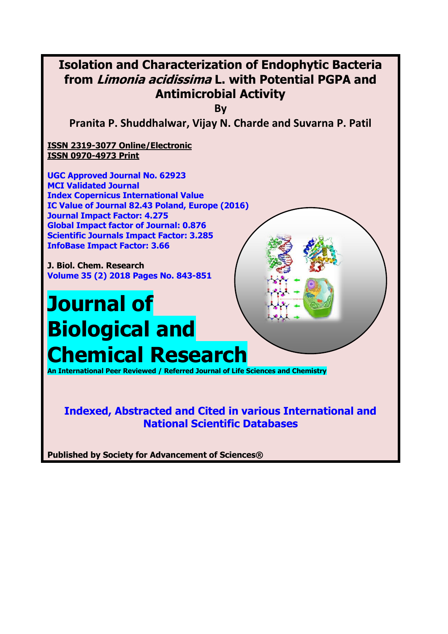

**National Scientific Databases**

**Published by Society for Advancement of Sciences®**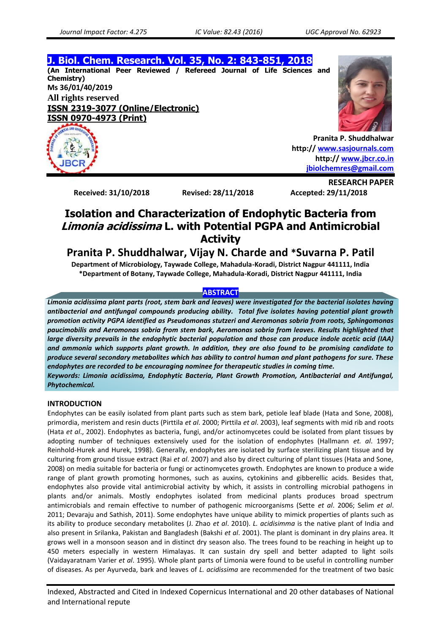**J. Biol. Chem. Research. Vol. 35, No. 2: 843-851, 2018 (An International Peer Reviewed / Refereed Journal of Life Sciences and Chemistry) Ms 36/01/40/2019 All rights reserved ISSN 2319-3077 (Online/Electronic) ISSN 0970-4973 (Print)**





**RESEARCH PAPER**

**Pranita P. Shuddhalwar http:// [www.sasjournals.com](http://www.sasjournals.com/) http:/[/ www.jbcr.co.in](http://www.jbcr.co.in/) [jbiolchemres@gmail.com](mailto:jbiolchemres@gmail.com)**

**Received: 31/10/2018 Revised: 28/11/2018 Accepted: 29/11/2018**

# **Isolation and Characterization of Endophytic Bacteria from Limonia acidissima L. with Potential PGPA and Antimicrobial Activity**

# **Pranita P. Shuddhalwar, Vijay N. Charde and \*Suvarna P. Patil**

**Department of Microbiology, Taywade College, Mahadula-Koradi, District Nagpur 441111, India \*Department of Botany, Taywade College, Mahadula-Koradi, District Nagpur 441111, India**

# **ABSTRACT**

*Limonia acidissima plant parts (root, stem bark and leaves) were investigated for the bacterial isolates having antibacterial and antifungal compounds producing ability. Total five isolates having potential plant growth promotion activity PGPA identified as Pseudomonas stutzeri and Aeromonas sobria from roots, Sphingomonas paucimobilis and Aeromonas sobria from stem bark, Aeromonas sobria from leaves. Results highlighted that large diversity prevails in the endophytic bacterial population and those can produce indole acetic acid (IAA) and ammonia which supports plant growth. In addition, they are also found to be promising candidate to produce several secondary metabolites which has ability to control human and plant pathogens for sure. These endophytes are recorded to be encouraging nominee for therapeutic studies in coming time.*

*Keywords: Limonia acidissima, Endophytic Bacteria, Plant Growth Promotion, Antibacterial and Antifungal, Phytochemical.*

# **INTRODUCTION**

Endophytes can be easily isolated from plant parts such as stem bark, petiole leaf blade (Hata and Sone, 2008), primordia, meristem and resin ducts (Pirttila *et al*. 2000; Pirttila *et al*. 2003), leaf segments with mid rib and roots (Hata *et al*., 2002). Endophytes as bacteria, fungi, and/or actinomycetes could be isolated from plant tissues by adopting number of techniques extensively used for the isolation of endophytes (Hallmann *et. al*. 1997; Reinhold-Hurek and Hurek, 1998). Generally, endophytes are isolated by surface sterilizing plant tissue and by culturing from ground tissue extract (Rai *et al*. 2007) and also by direct culturing of plant tissues (Hata and Sone, 2008) on media suitable for bacteria or fungi or actinomycetes growth. Endophytes are known to produce a wide range of plant growth promoting hormones, such as auxins, cytokinins and gibberellic acids. Besides that, endophytes also provide vital antimicrobial activity by which, it assists in controlling microbial pathogens in plants and/or animals. Mostly endophytes isolated from medicinal plants produces broad spectrum antimicrobials and remain effective to number of pathogenic microorganisms (Sette *et al*. 2006; Selim *et al*. 2011; Devaraju and Sathish, 2011). Some endophytes have unique ability to mimick properties of plants such as its ability to produce secondary metabolites (J. Zhao *et al*. 2010). *L. acidisimma* is the native plant of India and also present in Srilanka, Pakistan and Bangladesh (Bakshi *et al*. 2001). The plant is dominant in dry plains area. It grows well in a monsoon season and in distinct dry season also. The trees found to be reaching in height up to 450 meters especially in western Himalayas. It can sustain dry spell and better adapted to light soils (Vaidayaratnam Varier *et al*. 1995). Whole plant parts of Limonia were found to be useful in controlling number of diseases. As per Ayurveda, bark and leaves of *L. acidissima* are recommended for the treatment of two basic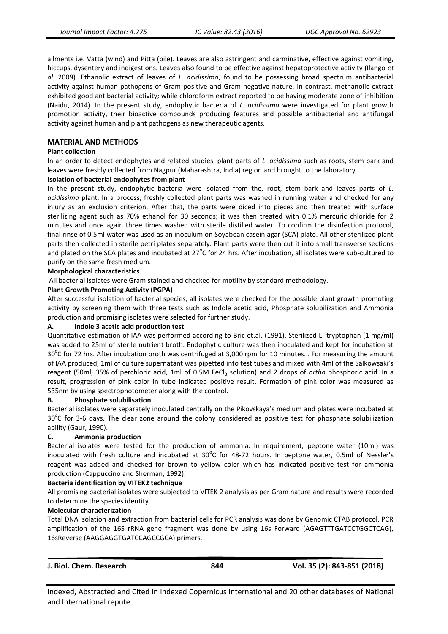ailments i.e. Vatta (wind) and Pitta (bile). Leaves are also astringent and carminative, effective against vomiting, hiccups, dysentery and indigestions. Leaves also found to be effective against hepatoprotective activity (Ilango *et al*. 2009). Ethanolic extract of leaves of *L. acidissima*, found to be possessing broad spectrum antibacterial activity against human pathogens of Gram positive and Gram negative nature. In contrast, methanolic extract exhibited good antibacterial activity; while chloroform extract reported to be having moderate zone of inhibition (Naidu, 2014). In the present study, endophytic bacteria of *L. acidissima* were investigated for plant growth promotion activity, their bioactive compounds producing features and possible antibacterial and antifungal activity against human and plant pathogens as new therapeutic agents.

# **MATERIAL AND METHODS**

#### **Plant collection**

In an order to detect endophytes and related studies, plant parts of *L. acidissima* such as roots, stem bark and leaves were freshly collected from Nagpur (Maharashtra, India) region and brought to the laboratory.

#### **Isolation of bacterial endophytes from plant**

In the present study, endophytic bacteria were isolated from the, root, stem bark and leaves parts of *L. acidissima* plant. In a process, freshly collected plant parts was washed in running water and checked for any injury as an exclusion criterion. After that, the parts were diced into pieces and then treated with surface sterilizing agent such as 70% ethanol for 30 seconds; it was then treated with 0.1% mercuric chloride for 2 minutes and once again three times washed with sterile distilled water. To confirm the disinfection protocol, final rinse of 0.5ml water was used as an inoculum on Soyabean casein agar (SCA) plate. All other sterilized plant parts then collected in sterile petri plates separately. Plant parts were then cut it into small transverse sections and plated on the SCA plates and incubated at 27 $^{\circ}$ C for 24 hrs. After incubation, all isolates were sub-cultured to purify on the same fresh medium.

#### **Morphological characteristics**

All bacterial isolates were Gram stained and checked for motility by standard methodology.

#### **Plant Growth Promoting Activity (PGPA)**

After successful isolation of bacterial species; all isolates were checked for the possible plant growth promoting activity by screening them with three tests such as Indole acetic acid, Phosphate solubilization and Ammonia production and promising isolates were selected for further study.

#### **A. Indole 3 acetic acid production test**

Quantitative estimation of IAA was performed according to Bric et.al. (1991). Sterilized L- tryptophan (1 mg/ml) was added to 25ml of sterile nutrient broth. Endophytic culture was then inoculated and kept for incubation at 30 $^{\circ}$ C for 72 hrs. After incubation broth was centrifuged at 3,000 rpm for 10 minutes. . For measuring the amount of IAA produced, 1ml of culture supernatant was pipetted into test tubes and mixed with 4ml of the Salkowsaki's reagent (50ml, 35% of perchloric acid, 1ml of 0.5M FeCl<sub>3</sub> solution) and 2 drops of *ortho* phosphoric acid. In a result, progression of pink color in tube indicated positive result. Formation of pink color was measured as 535nm by using spectrophotometer along with the control.

#### **B. Phosphate solubilisation**

Bacterial isolates were separately inoculated centrally on the Pikovskaya's medium and plates were incubated at  $30^{\circ}$ C for 3-6 days. The clear zone around the colony considered as positive test for phosphate solubilization ability (Gaur, 1990).

#### **C. Ammonia production**

Bacterial isolates were tested for the production of ammonia. In requirement, peptone water (10ml) was inoculated with fresh culture and incubated at 30°C for 48-72 hours. In peptone water, 0.5ml of Nessler's reagent was added and checked for brown to yellow color which has indicated positive test for ammonia production (Cappuccino and Sherman, 1992).

#### **Bacteria identification by VITEK2 technique**

All promising bacterial isolates were subjected to VITEK 2 analysis as per Gram nature and results were recorded to determine the species identity.

#### **Molecular characterization**

Total DNA isolation and extraction from bacterial cells for PCR analysis was done by Genomic CTAB protocol. PCR amplification of the 16S rRNA gene fragment was done by using 16s Forward (AGAGTTTGATCCTGGCTCAG), 16sReverse (AAGGAGGTGATCCAGCCGCA) primers.

|  |  | J. Biol. Chem. Research |  |
|--|--|-------------------------|--|
|--|--|-------------------------|--|

**J. Biol. Chem. Research 844 Vol. 35 (2): 843-851 (2018)**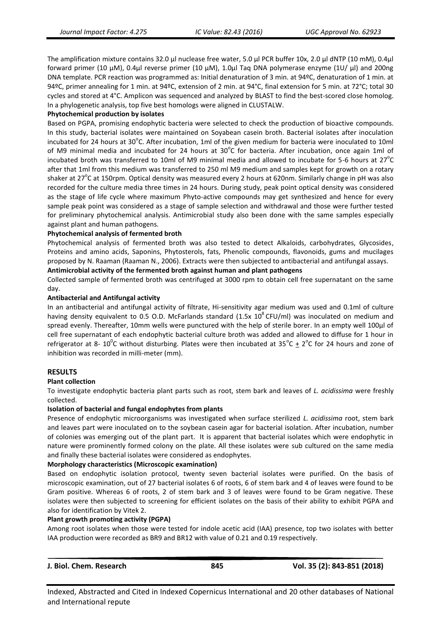The amplification mixture contains 32.0 μl nuclease free water, 5.0 μl PCR buffer 10x, 2.0 μl dNTP (10 mM), 0.4μl forward primer (10 μM), 0.4μl reverse primer (10 μM), 1.0μl Taq DNA polymerase enzyme (1U/ μl) and 200ng DNA template. PCR reaction was programmed as: Initial denaturation of 3 min. at 94ºC, denaturation of 1 min. at 94ºC, primer annealing for 1 min. at 94ºC, extension of 2 min. at 94°C, final extension for 5 min. at 72°C; total 30 cycles and stored at 4°C. Amplicon was sequenced and analyzed by BLAST to find the best-scored close homolog. In a phylogenetic analysis, top five best homologs were aligned in CLUSTALW.

# **Phytochemical production by isolates**

Based on PGPA, promising endophytic bacteria were selected to check the production of bioactive compounds. In this study, bacterial isolates were maintained on Soyabean casein broth. Bacterial isolates after inoculation incubated for 24 hours at 30°C. After incubation, 1ml of the given medium for bacteria were inoculated to 10ml of M9 minimal media and incubated for 24 hours at  $30^{\circ}$ C for bacteria. After incubation, once again 1ml of incubated broth was transferred to 10ml of M9 minimal media and allowed to incubate for 5-6 hours at 27 $^{\circ}$ C after that 1ml from this medium was transferred to 250 ml M9 medium and samples kept for growth on a rotary shaker at 27<sup>°</sup>C at 150rpm. Optical density was measured every 2 hours at 620nm. Similarly change in pH was also recorded for the culture media three times in 24 hours. During study, peak point optical density was considered as the stage of life cycle where maximum Phyto-active compounds may get synthesized and hence for every sample peak point was considered as a stage of sample selection and withdrawal and those were further tested for preliminary phytochemical analysis. Antimicrobial study also been done with the same samples especially against plant and human pathogens.

#### **Phytochemical analysis of fermented broth**

Phytochemical analysis of fermented broth was also tested to detect Alkaloids, carbohydrates, Glycosides, Proteins and amino acids, Saponins, Phytosterols, fats, Phenolic compounds, flavonoids, gums and mucilages proposed by N. Raaman (Raaman N., 2006). Extracts were then subjected to antibacterial and antifungal assays.

#### **Antimicrobial activity of the fermented broth against human and plant pathogens**

Collected sample of fermented broth was centrifuged at 3000 rpm to obtain cell free supernatant on the same day.

#### **Antibacterial and Antifungal activity**

In an antibacterial and antifungal activity of filtrate, Hi-sensitivity agar medium was used and 0.1ml of culture having density equivalent to 0.5 O.D. McFarlands standard  $(1.5x 10<sup>8</sup> CFU/ml)$  was inoculated on medium and spread evenly. Thereafter, 10mm wells were punctured with the help of sterile borer. In an empty well 100µl of cell free supernatant of each endophytic bacterial culture broth was added and allowed to diffuse for 1 hour in refrigerator at 8- 10<sup>°</sup>C without disturbing. Plates were then incubated at 35<sup>°</sup>C  $\pm$  2<sup>°</sup>C for 24 hours and zone of inhibition was recorded in milli-meter (mm).

# **RESULTS**

#### **Plant collection**

To investigate endophytic bacteria plant parts such as root, stem bark and leaves of *L. acidissima* were freshly collected.

#### **Isolation of bacterial and fungal endophytes from plants**

Presence of endophytic microorganisms was investigated when surface sterilized *L. acidissima* root, stem bark and leaves part were inoculated on to the soybean casein agar for bacterial isolation. After incubation, number of colonies was emerging out of the plant part. It is apparent that bacterial isolates which were endophytic in nature were prominently formed colony on the plate. All these isolates were sub cultured on the same media and finally these bacterial isolates were considered as endophytes.

#### **Morphology characteristics (Microscopic examination)**

Based on endophytic isolation protocol, twenty seven bacterial isolates were purified. On the basis of microscopic examination, out of 27 bacterial isolates 6 of roots, 6 of stem bark and 4 of leaves were found to be Gram positive. Whereas 6 of roots, 2 of stem bark and 3 of leaves were found to be Gram negative. These isolates were then subjected to screening for efficient isolates on the basis of their ability to exhibit PGPA and also for identification by Vitek 2.

#### **Plant growth promoting activity (PGPA)**

Among root isolates when those were tested for indole acetic acid (IAA) presence, top two isolates with better IAA production were recorded as BR9 and BR12 with value of 0.21 and 0.19 respectively.

| J. Biol. Chem. Research | 845 | Vol. 35 (2): 843-851 (2018) |
|-------------------------|-----|-----------------------------|
|                         |     |                             |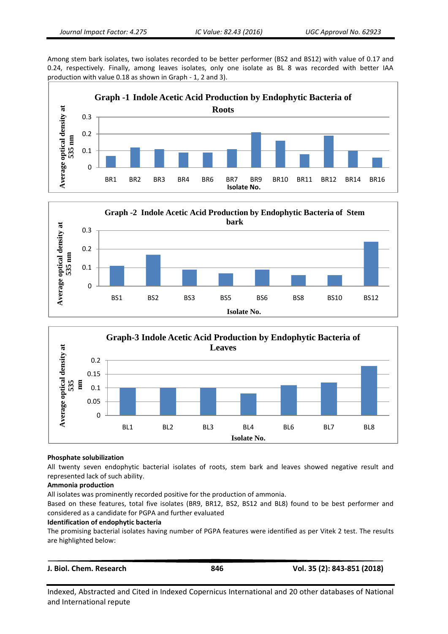Among stem bark isolates, two isolates recorded to be better performer (BS2 and BS12) with value of 0.17 and 0.24, respectively. Finally, among leaves isolates, only one isolate as BL 8 was recorded with better IAA production with value 0.18 as shown in Graph - 1, 2 and 3).







#### **Phosphate solubilization**

All twenty seven endophytic bacterial isolates of roots, stem bark and leaves showed negative result and represented lack of such ability.

#### **Ammonia production**

All isolates was prominently recorded positive for the production of ammonia.

Based on these features, total five isolates (BR9, BR12, BS2, BS12 and BL8) found to be best performer and considered as a candidate for PGPA and further evaluated

#### **Identification of endophytic bacteria**

The promising bacterial isolates having number of PGPA features were identified as per Vitek 2 test. The results are highlighted below:

| J. Biol. Chem. Research | 846 | Vol. 35 (2): 843-851 (2018) |
|-------------------------|-----|-----------------------------|
|                         |     |                             |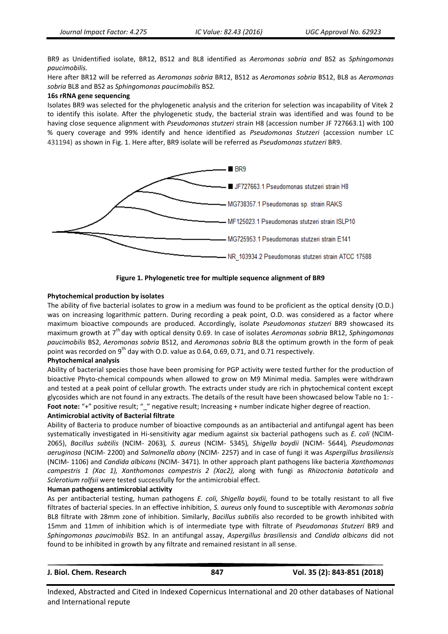BR9 as Unidentified isolate, BR12, BS12 and BL8 identified as *Aeromonas sobria and* BS2 as *Sphingomonas paucimobilis.*

Here after BR12 will be referred as *Aeromonas sobria* BR12, BS12 as *Aeromonas sobria* BS12, BL8 as *Aeromonas sobria* BL8 and BS2 as *Sphingomonas paucimobilis* BS2*.*

#### **16s rRNA gene sequencing**

Isolates BR9 was selected for the phylogenetic analysis and the criterion for selection was incapability of Vitek 2 to identify this isolate. After the phylogenetic study, the bacterial strain was identified and was found to be having close sequence alignment with *Pseudomonas stutzeri* strain H8 (accession number JF 727663.1) with 100 % query coverage and 99% identify and hence identified as *Pseudomonas Stutzeri* (accession number LC 431194) as shown in Fig. 1. Here after, BR9 isolate will be referred as *Pseudomonas stutzeri* BR9.



**Figure 1. Phylogenetic tree for multiple sequence alignment of BR9**

# **Phytochemical production by isolates**

The ability of five bacterial isolates to grow in a medium was found to be proficient as the optical density (O.D.) was on increasing logarithmic pattern. During recording a peak point, O.D. was considered as a factor where maximum bioactive compounds are produced. Accordingly, isolate *Pseudomonas stutzeri* BR9 showcased its maximum growth at 7th day with optical density 0.69. In case of isolates *Aeromonas sobria* BR12, *Sphingomonas paucimobilis* BS2, *Aeromonas sobria* BS12, and *Aeromonas sobria* BL8 the optimum growth in the form of peak point was recorded on 9<sup>th</sup> day with O.D. value as 0.64, 0.69, 0.71, and 0.71 respectively.

#### **Phytochemical analysis**

Ability of bacterial species those have been promising for PGP activity were tested further for the production of bioactive Phyto-chemical compounds when allowed to grow on M9 Minimal media. Samples were withdrawn and tested at a peak point of cellular growth. The extracts under study are rich in phytochemical content except glycosides which are not found in any extracts. The details of the result have been showcased below Table no 1: - Foot note: "+" positive result; "\_" negative result; Increasing + number indicate higher degree of reaction.

#### **Antimicrobial activity of Bacterial filtrate**

Ability of Bacteria to produce number of bioactive compounds as an antibacterial and antifungal agent has been systematically investigated in Hi-sensitivity agar medium against six bacterial pathogens such as *E. coli* (NCIM-2065), *Bacillus subtilis* (NCIM- 2063)*, S. aureus* (NCIM- 5345)*, Shigella boydii* (NCIM- 5644)*, Pseudomonas aeruginosa* (NCIM- 2200) and *Salmonella abony* (NCIM- 2257) and in case of fungi it was *Aspergillus brasiliensis*  (NCIM- 1106) and *Candida albicans* (NCIM- 3471)*.* In other approach plant pathogens like bacteria *Xanthomonas campestris 1 (Xac 1), Xanthomonas campestris 2 (Xac2),* along with fungi as *Rhizoctonia bataticola* and *Sclerotium rolfsii* were tested successfully for the antimicrobial effect.

#### **Human pathogens antimicrobial activity**

As per antibacterial testing, human pathogens *E. coli, Shigella boydii,* found to be totally resistant to all five filtrates of bacterial species. In an effective inhibition, *S. aureus* only found to susceptible with *Aeromonas sobria* BL8 filtrate with 28mm zone of inhibition. Similarly, *Bacillus subtilis* also recorded to be growth inhibited with 15mm and 11mm of inhibition which is of intermediate type with filtrate of *Pseudomonas Stutzeri* BR9 and *Sphingomonas paucimobilis* BS2. In an antifungal assay, *Aspergillus brasiliensis* and *Candida albicans* did not found to be inhibited in growth by any filtrate and remained resistant in all sense.

|  |  |  | J. Biol. Chem. Research |
|--|--|--|-------------------------|
|--|--|--|-------------------------|

**J. Biol. Chem. Research 847 Vol. 35 (2): 843-851 (2018)**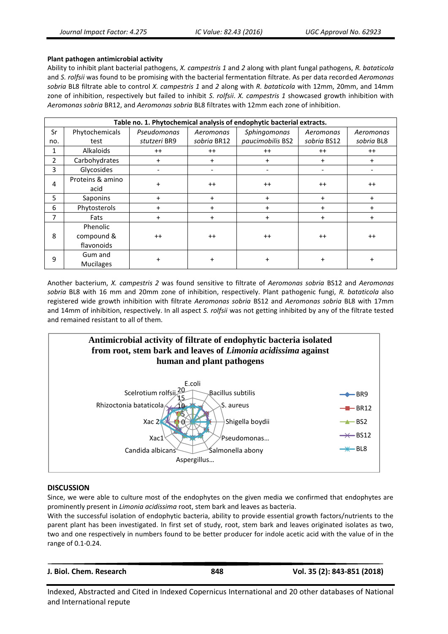#### **Plant pathogen antimicrobial activity**

Ability to inhibit plant bacterial pathogens, *X. campestris 1* and *2* along with plant fungal pathogens, *R. bataticola*  and *S. rolfsii* was found to be promising with the bacterial fermentation filtrate. As per data recorded *Aeromonas sobria* BL8 filtrate able to control *X. campestris 1* and *2* along with *R. bataticola* with 12mm, 20mm, and 14mm zone of inhibition, respectively but failed to inhibit *S. rolfsii*. *X. campestris 1* showcased growth inhibition with *Aeromonas sobria* BR12, and *Aeromonas sobria* BL8 filtrates with 12mm each zone of inhibition.

| Table no. 1. Phytochemical analysis of endophytic bacterial extracts. |                                      |              |             |                  |             |            |
|-----------------------------------------------------------------------|--------------------------------------|--------------|-------------|------------------|-------------|------------|
| Sr                                                                    | Phytochemicals                       | Pseudomonas  | Aeromonas   | Sphingomonas     | Aeromonas   | Aeromonas  |
| no.                                                                   | test                                 | stutzeri BR9 | sobria BR12 | paucimobilis BS2 | sobria BS12 | sobria BL8 |
| 1                                                                     | Alkaloids                            | $^{++}$      | $++$        | $^{++}$          | $^{++}$     | $++$       |
| 2                                                                     | Carbohydrates                        | $\ddot{}$    | $+$         | $\ddot{}$        | $+$         | $\ddot{}$  |
| 3                                                                     | Glycosides                           | -            |             |                  |             |            |
| 4                                                                     | Proteins & amino<br>acid             | $\ddot{}$    | $++$        | $^{++}$          | $^{++}$     | $^{++}$    |
| 5                                                                     | Saponins                             | $\ddot{}$    | $\ddot{}$   | $+$              | $+$         | $\ddot{}$  |
| 6                                                                     | Phytosterols                         | $+$          | $+$         | $+$              | $+$         | $+$        |
| 7                                                                     | Fats                                 | $\ddot{}$    | $\ddot{}$   | $\ddot{}$        | $\ddot{}$   | $+$        |
| 8                                                                     | Phenolic<br>compound &<br>flavonoids | $++$         | $^{++}$     | $^{++}$          | $++$        | $^{++}$    |
| 9                                                                     | Gum and<br><b>Mucilages</b>          | $\ddot{}$    | $\ddot{}$   | $\ddot{}$        | $\ddot{}$   | $\ddot{}$  |

Another bacterium, *X. campestris 2* was found sensitive to filtrate of *Aeromonas sobria* BS12 and *Aeromonas sobria* BL8 with 16 mm and 20mm zone of inhibition, respectively. Plant pathogenic fungi, *R. bataticola* also registered wide growth inhibition with filtrate *Aeromonas sobria* BS12 and *Aeromonas sobria* BL8 with 17mm and 14mm of inhibition, respectively. In all aspect *S. rolfsii* was not getting inhibited by any of the filtrate tested and remained resistant to all of them.



# **DISCUSSION**

Since, we were able to culture most of the endophytes on the given media we confirmed that endophytes are prominently present in *Limonia acidissima* root, stem bark and leaves as bacteria.

With the successful isolation of endophytic bacteria, ability to provide essential growth factors/nutrients to the parent plant has been investigated. In first set of study, root, stem bark and leaves originated isolates as two, two and one respectively in numbers found to be better producer for indole acetic acid with the value of in the range of 0.1-0.24.

| J. Biol. Chem. Research | 848 | Vol. 35 (2): 843-851 (2018) |
|-------------------------|-----|-----------------------------|
|                         |     |                             |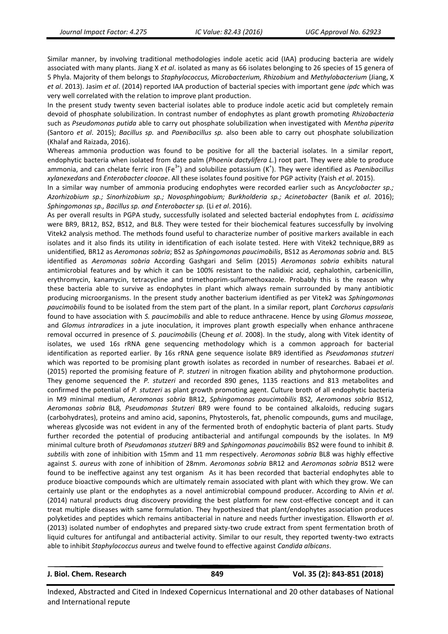Similar manner, by involving traditional methodologies indole acetic acid (IAA) producing bacteria are widely associated with many plants. Jiang X *et al*. isolated as many as 66 isolates belonging to 26 species of 15 genera of 5 Phyla. Majority of them belongs to *Staphylococcus, Microbacterium, Rhizobium* and *Methylobacterium* (Jiang, X *et al*. 2013). Jasim *et al*. (2014) reported IAA production of bacterial species with important gene *ipdc* which was very well correlated with the relation to improve plant production.

In the present study twenty seven bacterial isolates able to produce indole acetic acid but completely remain devoid of phosphate solubilization. In contrast number of endophytes as plant growth promoting *Rhizobacteria* such as *Pseudomonas putida* able to carry out phosphate solubilization when investigated with *Mentha piperita* (Santoro *et al*. 2015); *Bacillus sp.* and *Paenibacillus sp.* also been able to carry out phosphate solubilization (Khalaf and Raizada, 2016).

Whereas ammonia production was found to be positive for all the bacterial isolates. In a similar report, endophytic bacteria when isolated from date palm (*Phoenix dactylifera L.*) root part. They were able to produce ammonia, and can chelate ferric iron (Fe<sup>3+</sup>) and solubilize potassium (K<sup>+</sup>). They were identified as *Paenibacillus xylanexedans* and *Enterobacter cloacae*. All these isolates found positive for PGP activity (Yaish *et al*. 2015).

In a similar way number of ammonia producing endophytes were recorded earlier such as Anc*yclobacter sp.; Azorhizobium sp.; Sinorhizobium sp.; Novosphingobium; Burkholderia sp.; Acinetobacter* (Banik *et al*. 2016); *Sphingomonas sp., Bacillus sp. and Enterobacter sp.* (Li *et al*. 2016).

As per overall results in PGPA study, successfully isolated and selected bacterial endophytes from *L. acidissima*  were BR9, BR12, BS2, BS12, and BL8. They were tested for their biochemical features successfully by involving Vitek2 analysis method. The methods found useful to characterize number of positive markers available in each isolates and it also finds its utility in identification of each isolate tested. Here with Vitek2 technique,BR9 as unidentified*,* BR12 as *Aeromonas sobria*; BS2 as *Sphingomonas paucimobilis*, BS12 as *Aeromonas sobria* and*.* BL5 identified as *Aeromonas sobria* According Gashgari and Selim (2015) *Aeromonas sobria* exhibits natural antimicrobial features and by which it can be 100% resistant to the nalidixic acid, cephalothin, carbenicillin, erythromycin, kanamycin, tetracycline and trimethoprim-sulfamethoxazole. Probably this is the reason why these bacteria able to survive as endophytes in plant which always remain surrounded by many antibiotic producing microorganisms. In the present study another bacterium identified as per Vitek2 was *Sphingomonas paucimobilis* found to be isolated from the stem part of the plant. In a similar report, plant *Corchorus capsularis* found to have association with *S. paucimobilis* and able to reduce anthracene. Hence by using *Glomus mosseae,*  and *Glomus intraradices* in a jute inoculation, it improves plant growth especially when enhance anthracene removal occurred in presence of *S. paucimobilis* (Cheung *et al*. 2008). In the study, along with Vitek identity of isolates, we used 16s rRNA gene sequencing methodology which is a common approach for bacterial identification as reported earlier. By 16s rRNA gene sequence isolate BR9 identified as *Pseudomonas stutzeri*  which was reported to be promising plant growth isolates as recorded in number of researches. Babaei *et al*. (2015) reported the promising feature of *P. stutzeri* in nitrogen fixation ability and phytohormone production. They genome sequenced the *P. stutzeri* and recorded 890 genes, 1135 reactions and 813 metabolites and confirmed the potential of *P. stutzeri* as plant growth promoting agent. Culture broth of all endophytic bacteria in M9 minimal medium, *Aeromonas sobria* BR12, *Sphingomonas paucimobilis* BS2*, Aeromonas sobria* BS12*, Aeromonas sobria* BL8*, Pseudomonas Stutzeri* BR9 were found to be contained alkaloids, reducing sugars (carbohydrates), proteins and amino acid, saponins, Phytosterols, fat, phenolic compounds, gums and mucilage, whereas glycoside was not evident in any of the fermented broth of endophytic bacteria of plant parts. Study further recorded the potential of producing antibacterial and antifungal compounds by the isolates. In M9 minimal culture broth of *Pseudomonas stutzeri* BR9 and *Sphingomonas paucimobilis* BS2 were found to inhibit *B. subtilis* with zone of inhibition with 15mm and 11 mm respectively. *Aeromonas sobria* BL8 was highly effective against *S. aureus* with zone of inhibition of 28mm. *Aeromonas sobria* BR12 and *Aeromonas sobria* BS12 were found to be ineffective against any test organism As it has been recorded that bacterial endophytes able to produce bioactive compounds which are ultimately remain associated with plant with which they grow. We can certainly use plant or the endophytes as a novel antimicrobial compound producer. According to Alvin *et al*. (2014) natural products drug discovery providing the best platform for new cost-effective concept and it can treat multiple diseases with same formulation. They hypothesized that plant/endophytes association produces polyketides and peptides which remains antibacterial in nature and needs further investigation. Ellsworth *et al*. (2013) isolated number of endophytes and prepared sixty-two crude extract from spent fermentation broth of liquid cultures for antifungal and antibacterial activity. Similar to our result, they reported twenty-two extracts able to inhibit *Staphylococcus aureus* and twelve found to effective against *Candida albicans*.

**J. Biol. Chem. Research 849 Vol. 35 (2): 843-851 (2018)**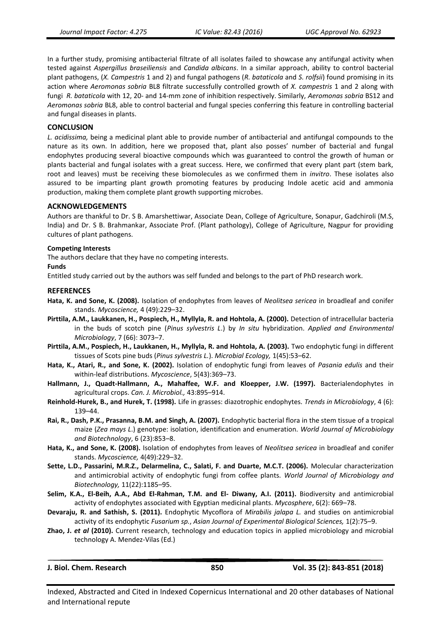In a further study, promising antibacterial filtrate of all isolates failed to showcase any antifungal activity when tested against *Aspergillus braseiliensis* and *Candida albicans*. In a similar approach, ability to control bacterial plant pathogens, (*X. Campestris* 1 and 2) and fungal pathogens (*R. bataticola* and *S. rolfsii*) found promising in its action where *Aeromonas sobria* BL8 filtrate successfully controlled growth of *X. campestris* 1 and 2 along with fungi *R. bataticola* with 12, 20- and 14-mm zone of inhibition respectively. Similarly, *Aeromonas sobria* BS12 and *Aeromonas sobria* BL8, able to control bacterial and fungal species conferring this feature in controlling bacterial and fungal diseases in plants.

# **CONCLUSION**

*L. acidissima,* being a medicinal plant able to provide number of antibacterial and antifungal compounds to the nature as its own. In addition, here we proposed that, plant also posses' number of bacterial and fungal endophytes producing several bioactive compounds which was guaranteed to control the growth of human or plants bacterial and fungal isolates with a great success. Here, we confirmed that every plant part (stem bark, root and leaves) must be receiving these biomolecules as we confirmed them in *invitro*. These isolates also assured to be imparting plant growth promoting features by producing Indole acetic acid and ammonia production, making them complete plant growth supporting microbes.

# **ACKNOWLEDGEMENTS**

Authors are thankful to Dr. S B. Amarshettiwar, Associate Dean, College of Agriculture, Sonapur, Gadchiroli (M.S, India) and Dr. S B. Brahmankar, Associate Prof. (Plant pathology), College of Agriculture, Nagpur for providing cultures of plant pathogens.

#### **Competing Interests**

The authors declare that they have no competing interests.

#### **Funds**

Entitled study carried out by the authors was self funded and belongs to the part of PhD research work.

#### **REFERENCES**

- **Hata, K. and Sone, K. (2008).** Isolation of endophytes from leaves of *Neolitsea sericea* in broadleaf and conifer stands. *Mycoscience,* 4 (49):229–32.
- **Pirttila, A.M., Laukkanen, H., Pospiech, H., Myllyla, R. and Hohtola, A. (2000).** Detection of intracellular bacteria in the buds of scotch pine (*Pinus sylvestris L*.) by *In situ* hybridization. *Applied and Environmental Microbiology*, 7 (66): 3073–7.
- **Pirttila, A.M., Pospiech, H., Laukkanen, H., Myllyla, R. and Hohtola, A. (2003).** Two endophytic fungi in different tissues of Scots pine buds (*Pinus sylvestris L.*). *Microbial Ecology,* 1(45):53–62.
- **Hata, K., Atari, R., and Sone, K. (2002).** Isolation of endophytic fungi from leaves of *Pasania edulis* and their within-leaf distributions. *Mycoscience*, 5(43):369–73.
- **Hallmann, J., Quadt-Hallmann, A., Mahaffee, W.F. and Kloepper, J.W. (1997).** Bacterialendophytes in agricultural crops. *Can. J. Microbiol.,* 43:895–914.
- **Reinhold-Hurek, B., and Hurek, T. (1998).** Life in grasses: diazotrophic endophytes. *Trends in Microbiology*, 4 (6): 139–44.
- **Rai, R., Dash, P.K., Prasanna, B.M. and Singh, A. (2007).** Endophytic bacterial flora in the stem tissue of a tropical maize (*Zea mays L*.) genotype: isolation, identification and enumeration. *World Journal of Microbiology and Biotechnology*, 6 (23):853–8.
- **Hata, K., and Sone, K. (2008).** Isolation of endophytes from leaves of *Neolitsea sericea* in broadleaf and conifer stands. *Mycoscience,* 4(49):229–32.
- **Sette, L.D., Passarini, M.R.Z., Delarmelina, C., Salati, F. and Duarte, M.C.T. (2006).** Molecular characterization and antimicrobial activity of endophytic fungi from coffee plants. *World Journal of Microbiology and Biotechnology,* 11(22):1185–95.
- **Selim, K.A., El-Beih, A.A., Abd El-Rahman, T.M. and El- Diwany, A.I. (2011).** Biodiversity and antimicrobial activity of endophytes associated with Egyptian medicinal plants. *Mycosphere*, 6(2): 669–78.
- **Devaraju, R. and Sathish, S. (2011).** Endophytic Mycoflora of *Mirabilis jalapa L.* and studies on antimicrobial activity of its endophytic *Fusarium sp.*, *Asian Journal of Experimental Biological Sciences,* 1(2):75–9.
- **Zhao, J.** *et al* **(2010).** Current research, technology and education topics in applied microbiology and microbial technology A. Mendez-Vilas (Ed.)

**J. Biol. Chem. Research 850 Vol. 35 (2): 843-851 (2018)**